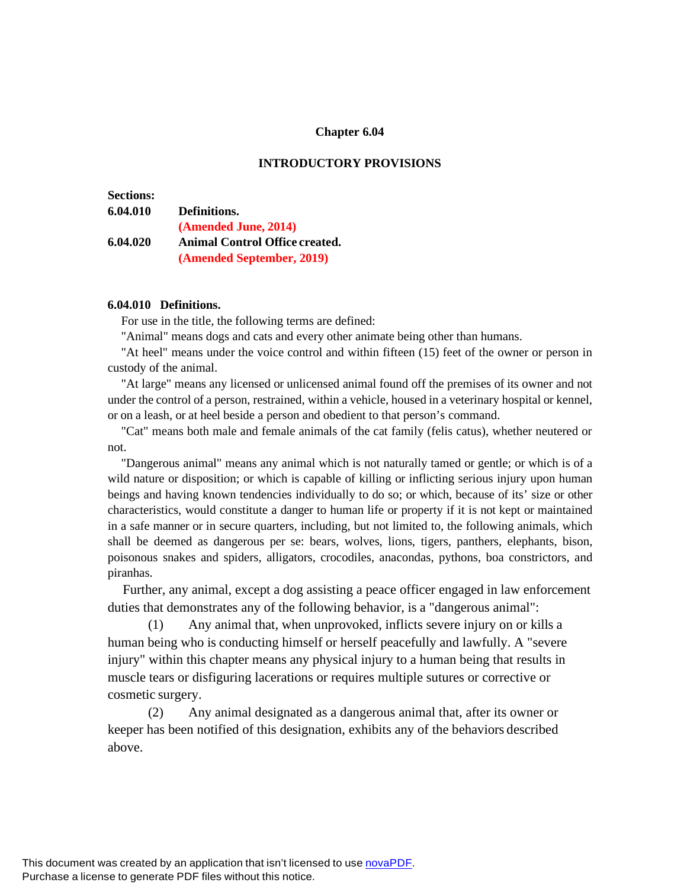## **Chapter 6.04**

## **INTRODUCTORY PROVISIONS**

# **Sections:**

# **6.04.010 Definitions. (Amended June, 2014) 6.04.020 Animal Control Office created. (Amended September, 2019)**

#### **6.04.010 Definitions.**

For use in the title, the following terms are defined:

"Animal" means dogs and cats and every other animate being other than humans.

"At heel" means under the voice control and within fifteen (15) feet of the owner or person in custody of the animal.

"At large" means any licensed or unlicensed animal found off the premises of its owner and not under the control of a person, restrained, within a vehicle, housed in a veterinary hospital or kennel, or on a leash, or at heel beside a person and obedient to that person's command.

"Cat" means both male and female animals of the cat family (felis catus), whether neutered or not.

"Dangerous animal" means any animal which is not naturally tamed or gentle; or which is of a wild nature or disposition; or which is capable of killing or inflicting serious injury upon human beings and having known tendencies individually to do so; or which, because of its' size or other characteristics, would constitute a danger to human life or property if it is not kept or maintained in a safe manner or in secure quarters, including, but not limited to, the following animals, which shall be deemed as dangerous per se: bears, wolves, lions, tigers, panthers, elephants, bison, poisonous snakes and spiders, alligators, crocodiles, anacondas, pythons, boa constrictors, and piranhas.

Further, any animal, except a dog assisting a peace officer engaged in law enforcement duties that demonstrates any of the following behavior, is a "dangerous animal":

(1) Any animal that, when unprovoked, inflicts severe injury on or kills a human being who is conducting himself or herself peacefully and lawfully. A "severe injury" within this chapter means any physical injury to a human being that results in muscle tears or disfiguring lacerations or requires multiple sutures or corrective or cosmetic surgery.

(2) Any animal designated as a dangerous animal that, after its owner or keeper has been notified of this designation, exhibits any of the behaviors described above.